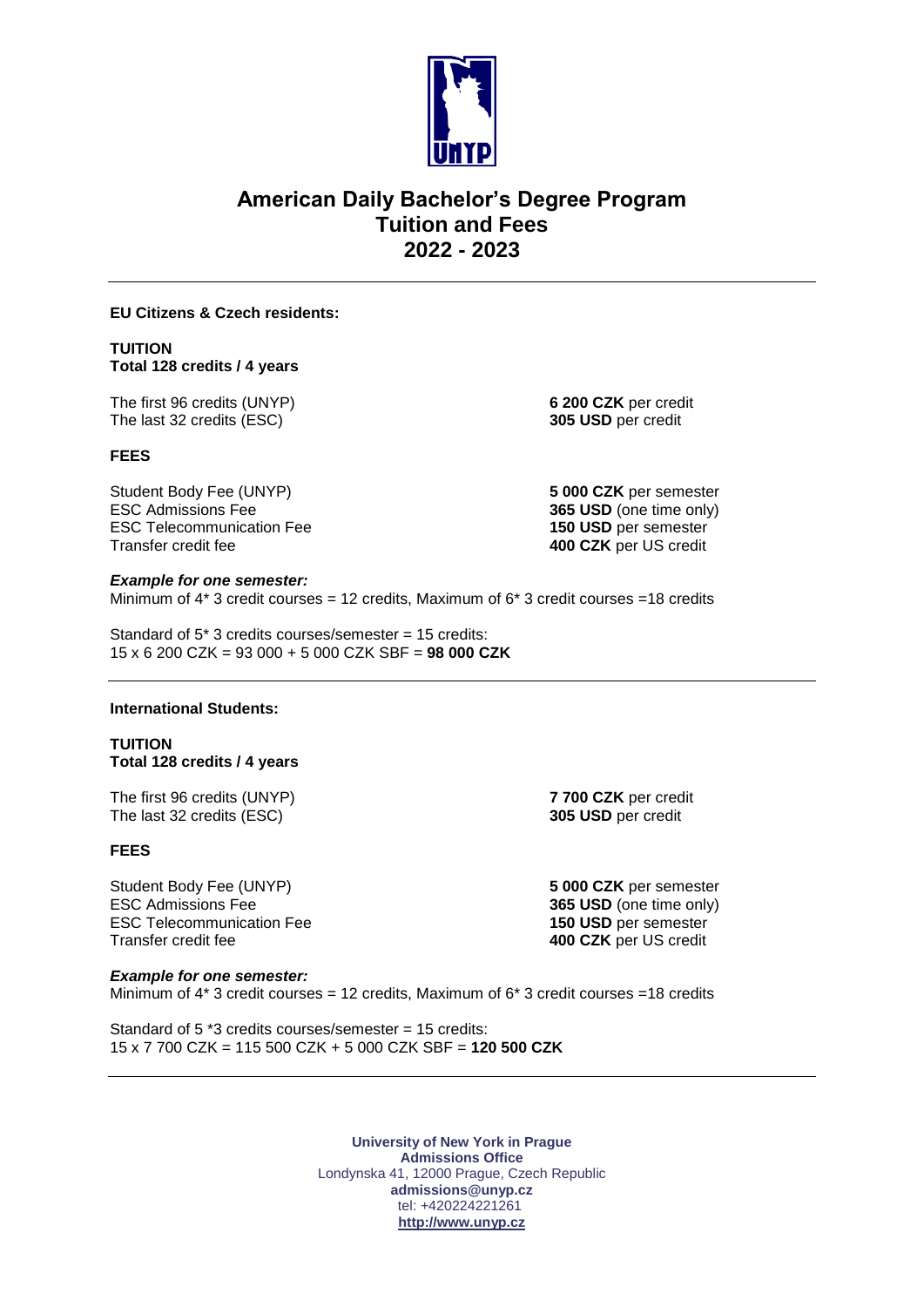

# **American Daily Bachelor's Degree Program Tuition and Fees 2022 - 2023**

#### **EU Citizens & Czech residents:**

# **TUITION Total 128 credits / 4 years**

The first 96 credits (UNYP) **6 200 CZK** per credit The last 32 credits (ESC) **305 USD** per credit

# **FEES**

Student Body Fee (UNYP) **5 000 CZK** per semester ESC Admissions Fee **365 USD** (one time only) ESC Telecommunication Fee **150 USD** per semester Transfer credit fee **400 CZK** per US credit

# *Example for one semester:* Minimum of  $4*$  3 credit courses = 12 credits, Maximum of  $6*$  3 credit courses = 18 credits

Standard of 5\* 3 credits courses/semester = 15 credits: 15 x 6 200 CZK = 93 000 + 5 000 CZK SBF = **98 000 CZK**

# **International Students:**

# **TUITION Total 128 credits / 4 years**

The first 96 credits (UNYP) **7 700 CZK** per credit The last 32 credits (ESC) **305 USD** per credit

# **FEES**

Student Body Fee (UNYP) **5 000 CZK** per semester ESC Admissions Fee **365 USD** (one time only) ESC Telecommunication Fee **150 USD** per semester Transfer credit fee **400 CZK** per US credit

# *Example for one semester:*

Minimum of  $4*3$  credit courses = 12 credits, Maximum of  $6*3$  credit courses = 18 credits

Standard of 5 \*3 credits courses/semester = 15 credits: 15 x 7 700 CZK = 115 500 CZK + 5 000 CZK SBF = **120 500 CZK**

> **University of New York in Prague Admissions Office** Londynska 41, 12000 Prague, Czech Republic **admissions@unyp.cz**  tel: +420224221261 **[http://www.unyp.cz](http://www.unyp.cz/)**